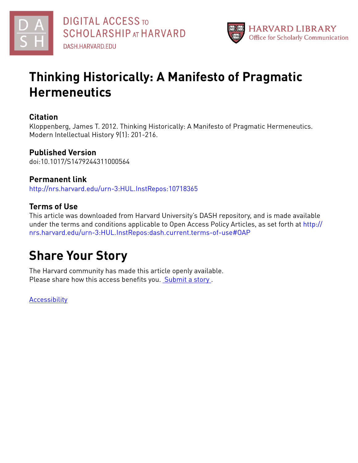



# **Thinking Historically: A Manifesto of Pragmatic Hermeneutics**

### **Citation**

Kloppenberg, James T. 2012. Thinking Historically: A Manifesto of Pragmatic Hermeneutics. Modern Intellectual History 9(1): 201-216.

## **Published Version**

doi:10.1017/S1479244311000564

## **Permanent link**

<http://nrs.harvard.edu/urn-3:HUL.InstRepos:10718365>

### **Terms of Use**

This article was downloaded from Harvard University's DASH repository, and is made available under the terms and conditions applicable to Open Access Policy Articles, as set forth at [http://](http://nrs.harvard.edu/urn-3:HUL.InstRepos:dash.current.terms-of-use#OAP) [nrs.harvard.edu/urn-3:HUL.InstRepos:dash.current.terms-of-use#OAP](http://nrs.harvard.edu/urn-3:HUL.InstRepos:dash.current.terms-of-use#OAP)

## **Share Your Story**

The Harvard community has made this article openly available. Please share how this access benefits you. [Submit](http://osc.hul.harvard.edu/dash/open-access-feedback?handle=&title=Thinking%20Historically:%20A%20Manifesto%20of%20Pragmatic%20Hermeneutics&community=1/1&collection=1/2&owningCollection1/2&harvardAuthors=a9717aa6e67cf09563631d6203be9808&departmentHistory) a story.

**[Accessibility](https://dash.harvard.edu/pages/accessibility)**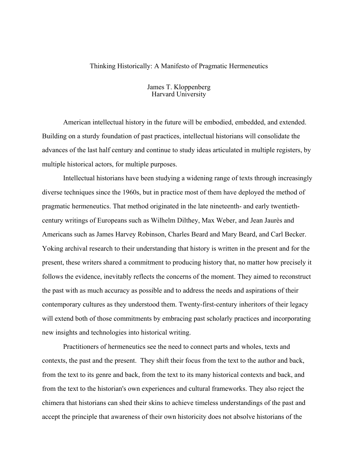#### Thinking Historically: A Manifesto of Pragmatic Hermeneutics

James T. Kloppenberg Harvard University

American intellectual history in the future will be embodied, embedded, and extended. Building on a sturdy foundation of past practices, intellectual historians will consolidate the advances of the last half century and continue to study ideas articulated in multiple registers, by multiple historical actors, for multiple purposes.

Intellectual historians have been studying a widening range of texts through increasingly diverse techniques since the 1960s, but in practice most of them have deployed the method of pragmatic hermeneutics. That method originated in the late nineteenth- and early twentiethcentury writings of Europeans such as Wilhelm Dilthey, Max Weber, and Jean Jaurès and Americans such as James Harvey Robinson, Charles Beard and Mary Beard, and Carl Becker. Yoking archival research to their understanding that history is written in the present and for the present, these writers shared a commitment to producing history that, no matter how precisely it follows the evidence, inevitably reflects the concerns of the moment. They aimed to reconstruct the past with as much accuracy as possible and to address the needs and aspirations of their contemporary cultures as they understood them. Twenty-first-century inheritors of their legacy will extend both of those commitments by embracing past scholarly practices and incorporating new insights and technologies into historical writing.

Practitioners of hermeneutics see the need to connect parts and wholes, texts and contexts, the past and the present. They shift their focus from the text to the author and back, from the text to its genre and back, from the text to its many historical contexts and back, and from the text to the historian's own experiences and cultural frameworks. They also reject the chimera that historians can shed their skins to achieve timeless understandings of the past and accept the principle that awareness of their own historicity does not absolve historians of the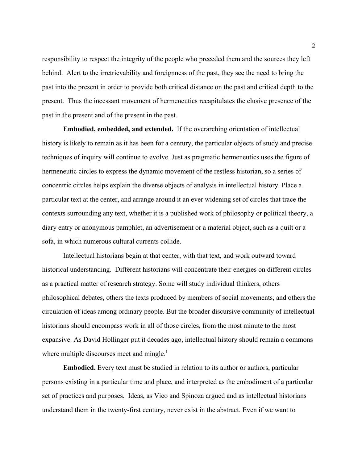responsibility to respect the integrity of the people who preceded them and the sources they left behind. Alert to the irretrievability and foreignness of the past, they see the need to bring the past into the present in order to provide both critical distance on the past and critical depth to the present. Thus the incessant movement of hermeneutics recapitulates the elusive presence of the past in the present and of the present in the past.

**Embodied, embedded, and extended.** If the overarching orientation of intellectual history is likely to remain as it has been for a century, the particular objects of study and precise techniques of inquiry will continue to evolve. Just as pragmatic hermeneutics uses the figure of hermeneutic circles to express the dynamic movement of the restless historian, so a series of concentric circles helps explain the diverse objects of analysis in intellectual history. Place a particular text at the center, and arrange around it an ever widening set of circles that trace the contexts surrounding any text, whether it is a published work of philosophy or political theory, a diary entry or anonymous pamphlet, an advertisement or a material object, such as a quilt or a sofa, in which numerous cultural currents collide.

Intellectual historians begin at that center, with that text, and work outward toward historical understanding. Different historians will concentrate their energies on different circles as a practical matter of research strategy. Some will study individual thinkers, others philosophical debates, others the texts produced by members of social movements, and others the circulation of ideas among ordinary people. But the broader discursive community of intellectual historians should encompass work in all of those circles, from the most minute to the most expansive. As David Hollinger put it decades ago, intellectual history should remain a commons where multiple discourses meet and mingle.<sup>1</sup>

**Embodied.** Every text must be studied in relation to its author or authors, particular persons existing in a particular time and place, and interpreted as the embodiment of a particular set of practices and purposes. Ideas, as Vico and Spinoza argued and as intellectual historians understand them in the twenty-first century, never exist in the abstract. Even if we want to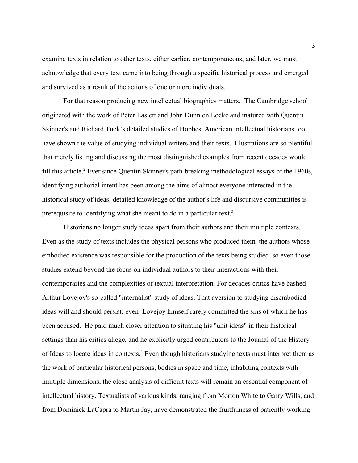examine texts in relation to other texts, either earlier, contemporaneous, and later, we must acknowledge that every text came into being through a specific historical process and emerged and survived as a result of the actions of one or more individuals.

For that reason producing new intellectual biographies matters. The Cambridge school originated with the work of Peter Laslett and John Dunn on Locke and matured with Quentin Skinner's and Richard Tuck's detailed studies of Hobbes. American intellectual historians too have shown the value of studying individual writers and their texts. Illustrations are so plentiful that merely listing and discussing the most distinguished examples from recent decades would fill this article.<sup>2</sup> Ever since Quentin Skinner's path-breaking methodological essays of the 1960s, identifying authorial intent has been among the aims of almost everyone interested in the historical study of ideas; detailed knowledge of the author's life and discursive communities is prerequisite to identifying what she meant to do in a particular text.<sup>3</sup>

Historians no longer study ideas apart from their authors and their multiple contexts. Even as the study of texts includes the physical persons who produced them–the authors whose embodied existence was responsible for the production of the texts being studied–so even those studies extend beyond the focus on individual authors to their interactions with their contemporaries and the complexities of textual interpretation. For decades critics have bashed Arthur Lovejoy's so-called "internalist" study of ideas. That aversion to studying disembodied ideas will and should persist; even Lovejoy himself rarely committed the sins of which he has been accused. He paid much closer attention to situating his "unit ideas" in their historical settings than his critics allege, and he explicitly urged contributors to the Journal of the History of Ideas to locate ideas in contexts.<sup>4</sup> Even though historians studying texts must interpret them as the work of particular historical persons, bodies in space and time, inhabiting contexts with multiple dimensions, the close analysis of difficult texts will remain an essential component of intellectual history. Textualists of various kinds, ranging from Morton White to Garry Wills, and from Dominick LaCapra to Martin Jay, have demonstrated the fruitfulness of patiently working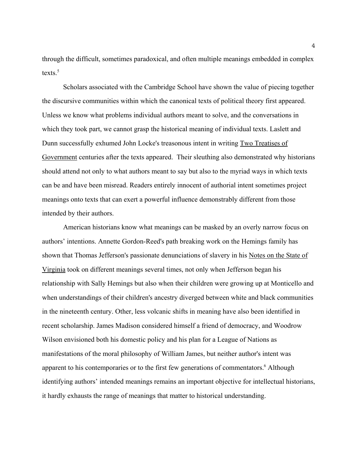through the difficult, sometimes paradoxical, and often multiple meanings embedded in complex texts.<sup>5</sup>

Scholars associated with the Cambridge School have shown the value of piecing together the discursive communities within which the canonical texts of political theory first appeared. Unless we know what problems individual authors meant to solve, and the conversations in which they took part, we cannot grasp the historical meaning of individual texts. Laslett and Dunn successfully exhumed John Locke's treasonous intent in writing Two Treatises of Government centuries after the texts appeared. Their sleuthing also demonstrated why historians should attend not only to what authors meant to say but also to the myriad ways in which texts can be and have been misread. Readers entirely innocent of authorial intent sometimes project meanings onto texts that can exert a powerful influence demonstrably different from those intended by their authors.

 American historians know what meanings can be masked by an overly narrow focus on authors' intentions. Annette Gordon-Reed's path breaking work on the Hemings family has shown that Thomas Jefferson's passionate denunciations of slavery in his Notes on the State of Virginia took on different meanings several times, not only when Jefferson began his relationship with Sally Hemings but also when their children were growing up at Monticello and when understandings of their children's ancestry diverged between white and black communities in the nineteenth century. Other, less volcanic shifts in meaning have also been identified in recent scholarship. James Madison considered himself a friend of democracy, and Woodrow Wilson envisioned both his domestic policy and his plan for a League of Nations as manifestations of the moral philosophy of William James, but neither author's intent was apparent to his contemporaries or to the first few generations of commentators.<sup>6</sup> Although identifying authors' intended meanings remains an important objective for intellectual historians, it hardly exhausts the range of meanings that matter to historical understanding.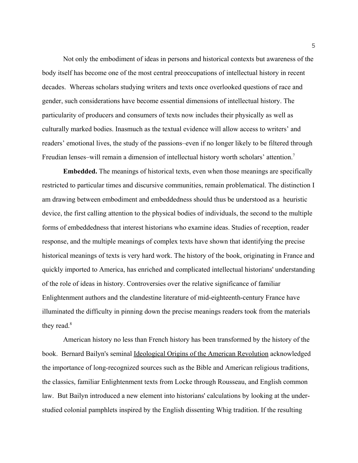Not only the embodiment of ideas in persons and historical contexts but awareness of the body itself has become one of the most central preoccupations of intellectual history in recent decades. Whereas scholars studying writers and texts once overlooked questions of race and gender, such considerations have become essential dimensions of intellectual history. The particularity of producers and consumers of texts now includes their physically as well as culturally marked bodies. Inasmuch as the textual evidence will allow access to writers' and readers' emotional lives, the study of the passions–even if no longer likely to be filtered through Freudian lenses–will remain a dimension of intellectual history worth scholars' attention.<sup>7</sup>

 **Embedded.** The meanings of historical texts, even when those meanings are specifically restricted to particular times and discursive communities, remain problematical. The distinction I am drawing between embodiment and embeddedness should thus be understood as a heuristic device, the first calling attention to the physical bodies of individuals, the second to the multiple forms of embeddedness that interest historians who examine ideas. Studies of reception, reader response, and the multiple meanings of complex texts have shown that identifying the precise historical meanings of texts is very hard work. The history of the book, originating in France and quickly imported to America, has enriched and complicated intellectual historians' understanding of the role of ideas in history. Controversies over the relative significance of familiar Enlightenment authors and the clandestine literature of mid-eighteenth-century France have illuminated the difficulty in pinning down the precise meanings readers took from the materials they read.<sup>8</sup>

American history no less than French history has been transformed by the history of the book. Bernard Bailyn's seminal Ideological Origins of the American Revolution acknowledged the importance of long-recognized sources such as the Bible and American religious traditions, the classics, familiar Enlightenment texts from Locke through Rousseau, and English common law. But Bailyn introduced a new element into historians' calculations by looking at the understudied colonial pamphlets inspired by the English dissenting Whig tradition. If the resulting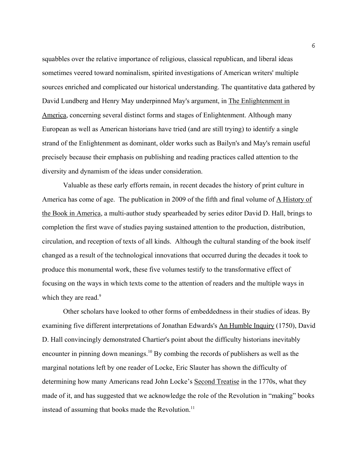squabbles over the relative importance of religious, classical republican, and liberal ideas sometimes veered toward nominalism, spirited investigations of American writers' multiple sources enriched and complicated our historical understanding. The quantitative data gathered by David Lundberg and Henry May underpinned May's argument, in The Enlightenment in America, concerning several distinct forms and stages of Enlightenment. Although many European as well as American historians have tried (and are still trying) to identify a single strand of the Enlightenment as dominant, older works such as Bailyn's and May's remain useful precisely because their emphasis on publishing and reading practices called attention to the diversity and dynamism of the ideas under consideration.

Valuable as these early efforts remain, in recent decades the history of print culture in America has come of age. The publication in 2009 of the fifth and final volume of  $\triangle$  History of the Book in America, a multi-author study spearheaded by series editor David D. Hall, brings to completion the first wave of studies paying sustained attention to the production, distribution, circulation, and reception of texts of all kinds. Although the cultural standing of the book itself changed as a result of the technological innovations that occurred during the decades it took to produce this monumental work, these five volumes testify to the transformative effect of focusing on the ways in which texts come to the attention of readers and the multiple ways in which they are read.<sup>9</sup>

Other scholars have looked to other forms of embeddedness in their studies of ideas. By examining five different interpretations of Jonathan Edwards's An Humble Inquiry (1750), David D. Hall convincingly demonstrated Chartier's point about the difficulty historians inevitably encounter in pinning down meanings.<sup>10</sup> By combing the records of publishers as well as the marginal notations left by one reader of Locke, Eric Slauter has shown the difficulty of determining how many Americans read John Locke's Second Treatise in the 1770s, what they made of it, and has suggested that we acknowledge the role of the Revolution in "making" books instead of assuming that books made the Revolution.<sup>11</sup>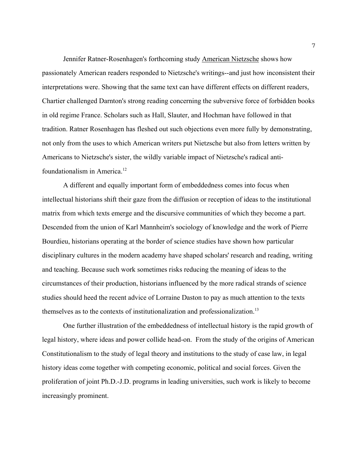Jennifer Ratner-Rosenhagen's forthcoming study **American Nietzsche** shows how passionately American readers responded to Nietzsche's writings--and just how inconsistent their interpretations were. Showing that the same text can have different effects on different readers, Chartier challenged Darnton's strong reading concerning the subversive force of forbidden books in old regime France. Scholars such as Hall, Slauter, and Hochman have followed in that tradition. Ratner Rosenhagen has fleshed out such objections even more fully by demonstrating, not only from the uses to which American writers put Nietzsche but also from letters written by Americans to Nietzsche's sister, the wildly variable impact of Nietzsche's radical antifoundationalism in America.12

A different and equally important form of embeddedness comes into focus when intellectual historians shift their gaze from the diffusion or reception of ideas to the institutional matrix from which texts emerge and the discursive communities of which they become a part. Descended from the union of Karl Mannheim's sociology of knowledge and the work of Pierre Bourdieu, historians operating at the border of science studies have shown how particular disciplinary cultures in the modern academy have shaped scholars' research and reading, writing and teaching. Because such work sometimes risks reducing the meaning of ideas to the circumstances of their production, historians influenced by the more radical strands of science studies should heed the recent advice of Lorraine Daston to pay as much attention to the texts themselves as to the contexts of institutionalization and professionalization.<sup>13</sup>

One further illustration of the embeddedness of intellectual history is the rapid growth of legal history, where ideas and power collide head-on. From the study of the origins of American Constitutionalism to the study of legal theory and institutions to the study of case law, in legal history ideas come together with competing economic, political and social forces. Given the proliferation of joint Ph.D.-J.D. programs in leading universities, such work is likely to become increasingly prominent.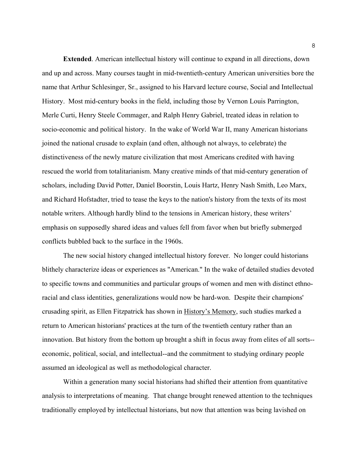**Extended**. American intellectual history will continue to expand in all directions, down and up and across. Many courses taught in mid-twentieth-century American universities bore the name that Arthur Schlesinger, Sr., assigned to his Harvard lecture course, Social and Intellectual History. Most mid-century books in the field, including those by Vernon Louis Parrington, Merle Curti, Henry Steele Commager, and Ralph Henry Gabriel, treated ideas in relation to socio-economic and political history. In the wake of World War II, many American historians joined the national crusade to explain (and often, although not always, to celebrate) the distinctiveness of the newly mature civilization that most Americans credited with having rescued the world from totalitarianism. Many creative minds of that mid-century generation of scholars, including David Potter, Daniel Boorstin, Louis Hartz, Henry Nash Smith, Leo Marx, and Richard Hofstadter, tried to tease the keys to the nation's history from the texts of its most notable writers. Although hardly blind to the tensions in American history, these writers' emphasis on supposedly shared ideas and values fell from favor when but briefly submerged conflicts bubbled back to the surface in the 1960s.

The new social history changed intellectual history forever. No longer could historians blithely characterize ideas or experiences as "American." In the wake of detailed studies devoted to specific towns and communities and particular groups of women and men with distinct ethnoracial and class identities, generalizations would now be hard-won. Despite their champions' crusading spirit, as Ellen Fitzpatrick has shown in History's Memory, such studies marked a return to American historians' practices at the turn of the twentieth century rather than an innovation. But history from the bottom up brought a shift in focus away from elites of all sorts- economic, political, social, and intellectual--and the commitment to studying ordinary people assumed an ideological as well as methodological character.

Within a generation many social historians had shifted their attention from quantitative analysis to interpretations of meaning. That change brought renewed attention to the techniques traditionally employed by intellectual historians, but now that attention was being lavished on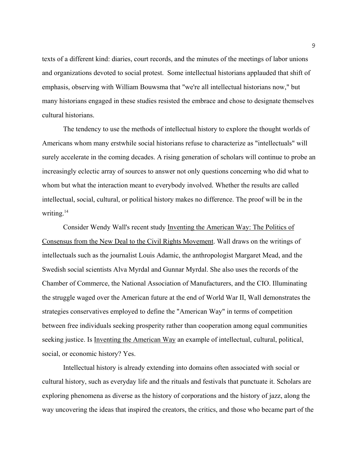texts of a different kind: diaries, court records, and the minutes of the meetings of labor unions and organizations devoted to social protest. Some intellectual historians applauded that shift of emphasis, observing with William Bouwsma that "we're all intellectual historians now," but many historians engaged in these studies resisted the embrace and chose to designate themselves cultural historians.

The tendency to use the methods of intellectual history to explore the thought worlds of Americans whom many erstwhile social historians refuse to characterize as "intellectuals" will surely accelerate in the coming decades. A rising generation of scholars will continue to probe an increasingly eclectic array of sources to answer not only questions concerning who did what to whom but what the interaction meant to everybody involved. Whether the results are called intellectual, social, cultural, or political history makes no difference. The proof will be in the writing.<sup>14</sup>

Consider Wendy Wall's recent study Inventing the American Way: The Politics of Consensus from the New Deal to the Civil Rights Movement. Wall draws on the writings of intellectuals such as the journalist Louis Adamic, the anthropologist Margaret Mead, and the Swedish social scientists Alva Myrdal and Gunnar Myrdal. She also uses the records of the Chamber of Commerce, the National Association of Manufacturers, and the CIO. Illuminating the struggle waged over the American future at the end of World War II, Wall demonstrates the strategies conservatives employed to define the "American Way" in terms of competition between free individuals seeking prosperity rather than cooperation among equal communities seeking justice. Is <u>Inventing the American Way</u> an example of intellectual, cultural, political, social, or economic history? Yes.

Intellectual history is already extending into domains often associated with social or cultural history, such as everyday life and the rituals and festivals that punctuate it. Scholars are exploring phenomena as diverse as the history of corporations and the history of jazz, along the way uncovering the ideas that inspired the creators, the critics, and those who became part of the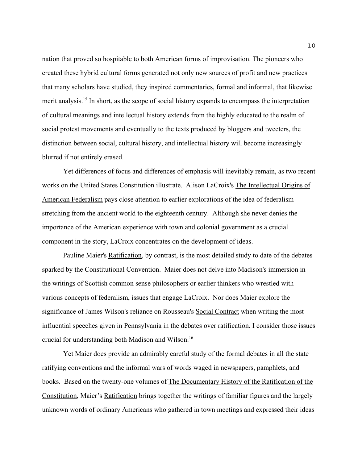nation that proved so hospitable to both American forms of improvisation. The pioneers who created these hybrid cultural forms generated not only new sources of profit and new practices that many scholars have studied, they inspired commentaries, formal and informal, that likewise merit analysis.<sup>15</sup> In short, as the scope of social history expands to encompass the interpretation of cultural meanings and intellectual history extends from the highly educated to the realm of social protest movements and eventually to the texts produced by bloggers and tweeters, the distinction between social, cultural history, and intellectual history will become increasingly blurred if not entirely erased.

Yet differences of focus and differences of emphasis will inevitably remain, as two recent works on the United States Constitution illustrate. Alison LaCroix's The Intellectual Origins of American Federalism pays close attention to earlier explorations of the idea of federalism stretching from the ancient world to the eighteenth century. Although she never denies the importance of the American experience with town and colonial government as a crucial component in the story, LaCroix concentrates on the development of ideas.

Pauline Maier's Ratification, by contrast, is the most detailed study to date of the debates sparked by the Constitutional Convention. Maier does not delve into Madison's immersion in the writings of Scottish common sense philosophers or earlier thinkers who wrestled with various concepts of federalism, issues that engage LaCroix. Nor does Maier explore the significance of James Wilson's reliance on Rousseau's Social Contract when writing the most influential speeches given in Pennsylvania in the debates over ratification. I consider those issues crucial for understanding both Madison and Wilson.16

Yet Maier does provide an admirably careful study of the formal debates in all the state ratifying conventions and the informal wars of words waged in newspapers, pamphlets, and books. Based on the twenty-one volumes of The Documentary History of the Ratification of the Constitution, Maier's Ratification brings together the writings of familiar figures and the largely unknown words of ordinary Americans who gathered in town meetings and expressed their ideas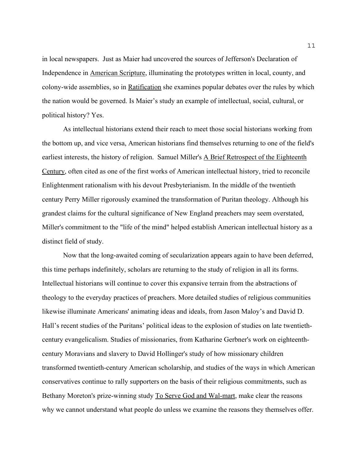in local newspapers. Just as Maier had uncovered the sources of Jefferson's Declaration of Independence in American Scripture, illuminating the prototypes written in local, county, and colony-wide assemblies, so in Ratification she examines popular debates over the rules by which the nation would be governed. Is Maier's study an example of intellectual, social, cultural, or political history? Yes.

As intellectual historians extend their reach to meet those social historians working from the bottom up, and vice versa, American historians find themselves returning to one of the field's earliest interests, the history of religion. Samuel Miller's A Brief Retrospect of the Eighteenth Century, often cited as one of the first works of American intellectual history, tried to reconcile Enlightenment rationalism with his devout Presbyterianism. In the middle of the twentieth century Perry Miller rigorously examined the transformation of Puritan theology. Although his grandest claims for the cultural significance of New England preachers may seem overstated, Miller's commitment to the "life of the mind" helped establish American intellectual history as a distinct field of study.

Now that the long-awaited coming of secularization appears again to have been deferred, this time perhaps indefinitely, scholars are returning to the study of religion in all its forms. Intellectual historians will continue to cover this expansive terrain from the abstractions of theology to the everyday practices of preachers. More detailed studies of religious communities likewise illuminate Americans' animating ideas and ideals, from Jason Maloy's and David D. Hall's recent studies of the Puritans' political ideas to the explosion of studies on late twentiethcentury evangelicalism. Studies of missionaries, from Katharine Gerbner's work on eighteenthcentury Moravians and slavery to David Hollinger's study of how missionary children transformed twentieth-century American scholarship, and studies of the ways in which American conservatives continue to rally supporters on the basis of their religious commitments, such as Bethany Moreton's prize-winning study To Serve God and Wal-mart, make clear the reasons why we cannot understand what people do unless we examine the reasons they themselves offer.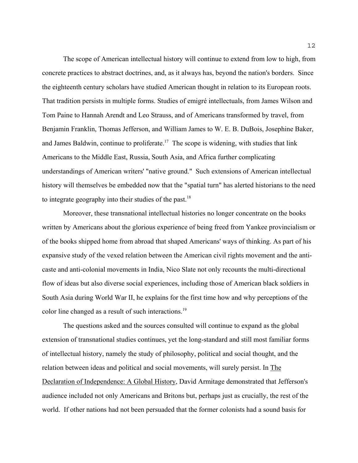The scope of American intellectual history will continue to extend from low to high, from concrete practices to abstract doctrines, and, as it always has, beyond the nation's borders. Since the eighteenth century scholars have studied American thought in relation to its European roots. That tradition persists in multiple forms. Studies of emigré intellectuals, from James Wilson and Tom Paine to Hannah Arendt and Leo Strauss, and of Americans transformed by travel, from Benjamin Franklin, Thomas Jefferson, and William James to W. E. B. DuBois, Josephine Baker, and James Baldwin, continue to proliferate.<sup>17</sup> The scope is widening, with studies that link Americans to the Middle East, Russia, South Asia, and Africa further complicating understandings of American writers' "native ground." Such extensions of American intellectual history will themselves be embedded now that the "spatial turn" has alerted historians to the need to integrate geography into their studies of the past.<sup>18</sup>

Moreover, these transnational intellectual histories no longer concentrate on the books written by Americans about the glorious experience of being freed from Yankee provincialism or of the books shipped home from abroad that shaped Americans' ways of thinking. As part of his expansive study of the vexed relation between the American civil rights movement and the anticaste and anti-colonial movements in India, Nico Slate not only recounts the multi-directional flow of ideas but also diverse social experiences, including those of American black soldiers in South Asia during World War II, he explains for the first time how and why perceptions of the color line changed as a result of such interactions.<sup>19</sup>

The questions asked and the sources consulted will continue to expand as the global extension of transnational studies continues, yet the long-standard and still most familiar forms of intellectual history, namely the study of philosophy, political and social thought, and the relation between ideas and political and social movements, will surely persist. In The Declaration of Independence: A Global History, David Armitage demonstrated that Jefferson's audience included not only Americans and Britons but, perhaps just as crucially, the rest of the world. If other nations had not been persuaded that the former colonists had a sound basis for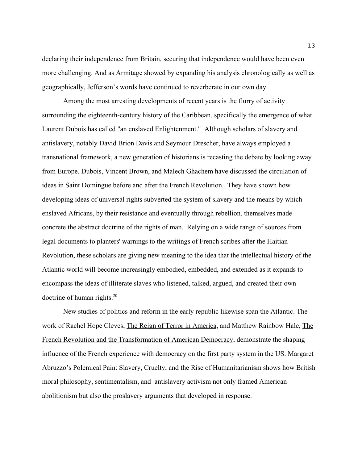declaring their independence from Britain, securing that independence would have been even more challenging. And as Armitage showed by expanding his analysis chronologically as well as geographically, Jefferson's words have continued to reverberate in our own day.

Among the most arresting developments of recent years is the flurry of activity surrounding the eighteenth-century history of the Caribbean, specifically the emergence of what Laurent Dubois has called "an enslaved Enlightenment." Although scholars of slavery and antislavery, notably David Brion Davis and Seymour Drescher, have always employed a transnational framework, a new generation of historians is recasting the debate by looking away from Europe. Dubois, Vincent Brown, and Malech Ghachem have discussed the circulation of ideas in Saint Domingue before and after the French Revolution. They have shown how developing ideas of universal rights subverted the system of slavery and the means by which enslaved Africans, by their resistance and eventually through rebellion, themselves made concrete the abstract doctrine of the rights of man. Relying on a wide range of sources from legal documents to planters' warnings to the writings of French scribes after the Haitian Revolution, these scholars are giving new meaning to the idea that the intellectual history of the Atlantic world will become increasingly embodied, embedded, and extended as it expands to encompass the ideas of illiterate slaves who listened, talked, argued, and created their own doctrine of human rights. $20$ 

New studies of politics and reform in the early republic likewise span the Atlantic. The work of Rachel Hope Cleves, The Reign of Terror in America, and Matthew Rainbow Hale, The French Revolution and the Transformation of American Democracy, demonstrate the shaping influence of the French experience with democracy on the first party system in the US. Margaret Abruzzo's Polemical Pain: Slavery, Cruelty, and the Rise of Humanitarianism shows how British moral philosophy, sentimentalism, and antislavery activism not only framed American abolitionism but also the proslavery arguments that developed in response.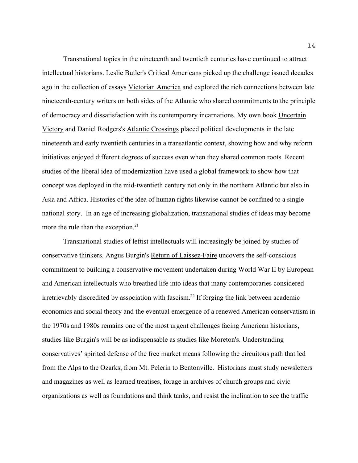Transnational topics in the nineteenth and twentieth centuries have continued to attract intellectual historians. Leslie Butler's Critical Americans picked up the challenge issued decades ago in the collection of essays Victorian America and explored the rich connections between late nineteenth-century writers on both sides of the Atlantic who shared commitments to the principle of democracy and dissatisfaction with its contemporary incarnations. My own book Uncertain Victory and Daniel Rodgers's Atlantic Crossings placed political developments in the late nineteenth and early twentieth centuries in a transatlantic context, showing how and why reform initiatives enjoyed different degrees of success even when they shared common roots. Recent studies of the liberal idea of modernization have used a global framework to show how that concept was deployed in the mid-twentieth century not only in the northern Atlantic but also in Asia and Africa. Histories of the idea of human rights likewise cannot be confined to a single national story. In an age of increasing globalization, transnational studies of ideas may become more the rule than the exception.<sup>21</sup>

Transnational studies of leftist intellectuals will increasingly be joined by studies of conservative thinkers. Angus Burgin's Return of Laissez-Faire uncovers the self-conscious commitment to building a conservative movement undertaken during World War II by European and American intellectuals who breathed life into ideas that many contemporaries considered irretrievably discredited by association with fascism.22 If forging the link between academic economics and social theory and the eventual emergence of a renewed American conservatism in the 1970s and 1980s remains one of the most urgent challenges facing American historians, studies like Burgin's will be as indispensable as studies like Moreton's. Understanding conservatives' spirited defense of the free market means following the circuitous path that led from the Alps to the Ozarks, from Mt. Pelerin to Bentonville. Historians must study newsletters and magazines as well as learned treatises, forage in archives of church groups and civic organizations as well as foundations and think tanks, and resist the inclination to see the traffic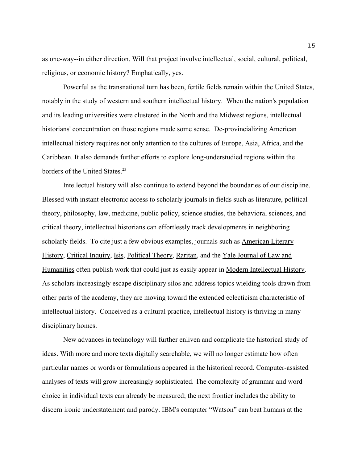as one-way--in either direction. Will that project involve intellectual, social, cultural, political, religious, or economic history? Emphatically, yes.

Powerful as the transnational turn has been, fertile fields remain within the United States, notably in the study of western and southern intellectual history. When the nation's population and its leading universities were clustered in the North and the Midwest regions, intellectual historians' concentration on those regions made some sense. De-provincializing American intellectual history requires not only attention to the cultures of Europe, Asia, Africa, and the Caribbean. It also demands further efforts to explore long-understudied regions within the borders of the United States.<sup>23</sup>

Intellectual history will also continue to extend beyond the boundaries of our discipline. Blessed with instant electronic access to scholarly journals in fields such as literature, political theory, philosophy, law, medicine, public policy, science studies, the behavioral sciences, and critical theory, intellectual historians can effortlessly track developments in neighboring scholarly fields. To cite just a few obvious examples, journals such as American Literary History, Critical Inquiry, Isis, Political Theory, Raritan, and the Yale Journal of Law and Humanities often publish work that could just as easily appear in Modern Intellectual History. As scholars increasingly escape disciplinary silos and address topics wielding tools drawn from other parts of the academy, they are moving toward the extended eclecticism characteristic of intellectual history. Conceived as a cultural practice, intellectual history is thriving in many disciplinary homes.

New advances in technology will further enliven and complicate the historical study of ideas. With more and more texts digitally searchable, we will no longer estimate how often particular names or words or formulations appeared in the historical record. Computer-assisted analyses of texts will grow increasingly sophisticated. The complexity of grammar and word choice in individual texts can already be measured; the next frontier includes the ability to discern ironic understatement and parody. IBM's computer "Watson" can beat humans at the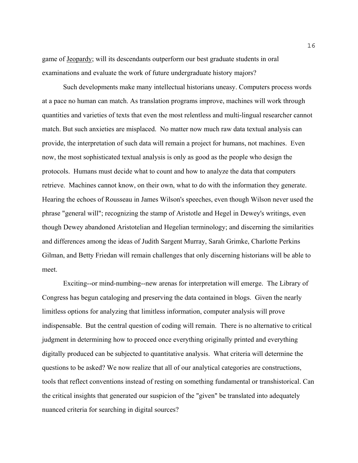game of Jeopardy; will its descendants outperform our best graduate students in oral examinations and evaluate the work of future undergraduate history majors?

Such developments make many intellectual historians uneasy. Computers process words at a pace no human can match. As translation programs improve, machines will work through quantities and varieties of texts that even the most relentless and multi-lingual researcher cannot match. But such anxieties are misplaced. No matter now much raw data textual analysis can provide, the interpretation of such data will remain a project for humans, not machines. Even now, the most sophisticated textual analysis is only as good as the people who design the protocols. Humans must decide what to count and how to analyze the data that computers retrieve. Machines cannot know, on their own, what to do with the information they generate. Hearing the echoes of Rousseau in James Wilson's speeches, even though Wilson never used the phrase "general will"; recognizing the stamp of Aristotle and Hegel in Dewey's writings, even though Dewey abandoned Aristotelian and Hegelian terminology; and discerning the similarities and differences among the ideas of Judith Sargent Murray, Sarah Grimke, Charlotte Perkins Gilman, and Betty Friedan will remain challenges that only discerning historians will be able to meet.

Exciting--or mind-numbing--new arenas for interpretation will emerge. The Library of Congress has begun cataloging and preserving the data contained in blogs. Given the nearly limitless options for analyzing that limitless information, computer analysis will prove indispensable. But the central question of coding will remain. There is no alternative to critical judgment in determining how to proceed once everything originally printed and everything digitally produced can be subjected to quantitative analysis. What criteria will determine the questions to be asked? We now realize that all of our analytical categories are constructions, tools that reflect conventions instead of resting on something fundamental or transhistorical. Can the critical insights that generated our suspicion of the "given" be translated into adequately nuanced criteria for searching in digital sources?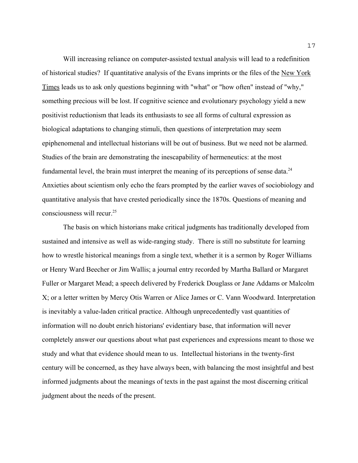Will increasing reliance on computer-assisted textual analysis will lead to a redefinition of historical studies? If quantitative analysis of the Evans imprints or the files of the New York Times leads us to ask only questions beginning with "what" or "how often" instead of "why," something precious will be lost. If cognitive science and evolutionary psychology yield a new positivist reductionism that leads its enthusiasts to see all forms of cultural expression as biological adaptations to changing stimuli, then questions of interpretation may seem epiphenomenal and intellectual historians will be out of business. But we need not be alarmed. Studies of the brain are demonstrating the inescapability of hermeneutics: at the most fundamental level, the brain must interpret the meaning of its perceptions of sense data.<sup>24</sup> Anxieties about scientism only echo the fears prompted by the earlier waves of sociobiology and quantitative analysis that have crested periodically since the 1870s. Questions of meaning and consciousness will recur.25

The basis on which historians make critical judgments has traditionally developed from sustained and intensive as well as wide-ranging study. There is still no substitute for learning how to wrestle historical meanings from a single text, whether it is a sermon by Roger Williams or Henry Ward Beecher or Jim Wallis; a journal entry recorded by Martha Ballard or Margaret Fuller or Margaret Mead; a speech delivered by Frederick Douglass or Jane Addams or Malcolm X; or a letter written by Mercy Otis Warren or Alice James or C. Vann Woodward. Interpretation is inevitably a value-laden critical practice. Although unprecedentedly vast quantities of information will no doubt enrich historians' evidentiary base, that information will never completely answer our questions about what past experiences and expressions meant to those we study and what that evidence should mean to us. Intellectual historians in the twenty-first century will be concerned, as they have always been, with balancing the most insightful and best informed judgments about the meanings of texts in the past against the most discerning critical judgment about the needs of the present.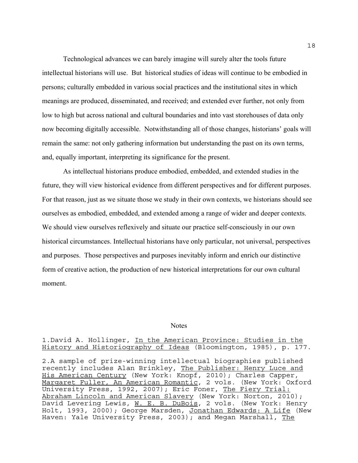Technological advances we can barely imagine will surely alter the tools future intellectual historians will use. But historical studies of ideas will continue to be embodied in persons; culturally embedded in various social practices and the institutional sites in which meanings are produced, disseminated, and received; and extended ever further, not only from low to high but across national and cultural boundaries and into vast storehouses of data only now becoming digitally accessible. Notwithstanding all of those changes, historians' goals will remain the same: not only gathering information but understanding the past on its own terms, and, equally important, interpreting its significance for the present.

As intellectual historians produce embodied, embedded, and extended studies in the future, they will view historical evidence from different perspectives and for different purposes. For that reason, just as we situate those we study in their own contexts, we historians should see ourselves as embodied, embedded, and extended among a range of wider and deeper contexts. We should view ourselves reflexively and situate our practice self-consciously in our own historical circumstances. Intellectual historians have only particular, not universal, perspectives and purposes. Those perspectives and purposes inevitably inform and enrich our distinctive form of creative action, the production of new historical interpretations for our own cultural moment.

#### **Notes**

#### 1.David A. Hollinger, In the American Province: Studies in the History and Historiography of Ideas (Bloomington, 1985), p. 177.

2.A sample of prize-winning intellectual biographies published recently includes Alan Brinkley, The Publisher: Henry Luce and His American Century (New York: Knopf, 2010); Charles Capper, Margaret Fuller, An American Romantic, 2 vols. (New York: Oxford University Press, 1992, 2007); Eric Foner, The Fiery Trial: Abraham Lincoln and American Slavery (New York: Norton, 2010); David Levering Lewis, W. E. B. DuBois, 2 vols. (New York: Henry Holt, 1993, 2000); George Marsden, Jonathan Edwards: A Life (New Haven: Yale University Press, 2003); and Megan Marshall, The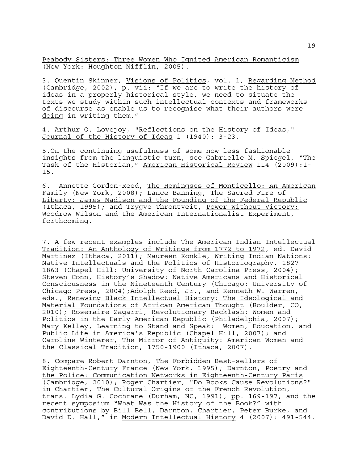Peabody Sisters: Three Women Who Ignited American Romanticism (New York: Houghton Mifflin, 2005).

3. Quentin Skinner, Visions of Politics, vol. 1, Regarding Method (Cambridge, 2002), p. vii: "If we are to write the history of ideas in a properly historical style, we need to situate the texts we study within such intellectual contexts and frameworks of discourse as enable us to recognise what their authors were doing in writing them."

4. Arthur O. Lovejoy, "Reflections on the History of Ideas," Journal of the History of Ideas 1 (1940): 3-23.

5.On the continuing usefulness of some now less fashionable insights from the linguistic turn, see Gabrielle M. Spiegel, "The Task of the Historian," American Historical Review 114 (2009):1-15.

6. Annette Gordon-Reed, The Hemingses of Monticello: An American Family (New York, 2008); Lance Banning, The Sacred Fire of Liberty: James Madison and the Founding of the Federal Republic (Ithaca, 1995); and Trygve Throntveit, Power without Victory: Woodrow Wilson and the American Internationalist Experiment, forthcoming.

7. A few recent examples include The American Indian Intellectual Tradition: An Anthology of Writings from 1772 to 1972, ed. David Martinez (Ithaca, 2011); Maureen Konkle, Writing Indian Nations: Native Intellectuals and the Politics of Historiography, 1827- 1863 (Chapel Hill: University of North Carolina Press, 2004); Steven Conn, History's Shadow: Native Americans and Historical Consciousness in the Nineteenth Century (Chicago: University of Chicago Press, 2004);Adolph Reed, Jr., and Kenneth W. Warren, eds., Renewing Black Intellectual History: The Ideological and Material Foundations of African American Thought (Boulder, CO, 2010); Rosemaire Zagarri, Revolutionary Backlash: Women and Politics in the Early American Republic (Philadelphia, 2007); Mary Kelley, Learning to Stand and Speak: Women, Education, and Public Life in America's Republic (Chapel Hill, 2007); and Caroline Winterer, The Mirror of Antiquity: American Women and the Classical Tradition, 1750-1900 (Ithaca, 2007).

8. Compare Robert Darnton, The Forbidden Best-sellers of Eighteenth-Century France (New York, 1995); Darnton, Poetry and the Police: Communication Networks in Eighteenth-Century Paris (Cambridge, 2010); Roger Chartier, "Do Books Cause Revolutions?" in Chartier, The Cultural Origins of the French Revolution, trans. Lydia G. Cochrane (Durham, NC, 1991), pp. 169-197; and the recent symposium "What Was the History of the Book?" with contributions by Bill Bell, Darnton, Chartier, Peter Burke, and David D. Hall," in Modern Intellectual History 4 (2007): 491-544.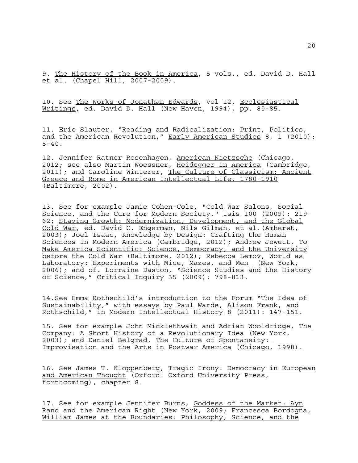9. The History of the Book in America, 5 vols., ed. David D. Hall et al. (Chapel Hill, 2007-2009).

10. See The Works of Jonathan Edwards, vol 12, Ecclesiastical Writings, ed. David D. Hall (New Haven, 1994), pp. 80-85.

11. Eric Slauter, "Reading and Radicalization: Print, Politics, and the American Revolution," Early American Studies 8, 1 (2010):  $5 - 40$ .

12. Jennifer Ratner Rosenhagen, American Nietzsche (Chicago, 2012; see also Martin Woessner, Heidegger in America (Cambridge, 2011); and Caroline Winterer, The Culture of Classicism: Ancient Greece and Rome in American Intellectual Life, 1780-1910 (Baltimore, 2002).

13. See for example Jamie Cohen-Cole, "Cold War Salons, Social Science, and the Cure for Modern Society," Isis 100 (2009): 219-62; Staging Growth: Modernization, Development, and the Global Cold War, ed. David C. Engerman, Nils Gilman, et al.(Amherst, 2003); Joel Isaac, Knowledge by Design: Crafting the Human Sciences in Modern America (Cambridge, 2012); Andrew Jewett, To Make America Scientific: Science, Democracy, and the University before the Cold War (Baltimore, 2012); Rebecca Lemov, World as Laboratory: Experiments with Mice, Mazes, and Men (New York, 2006); and cf. Lorraine Daston, "Science Studies and the History of Science," Critical Inquiry 35 (2009): 798-813.

14.See Emma Rothschild's introduction to the Forum "The Idea of Sustainability," with essays by Paul Warde, Alison Frank, and Rothschild," in Modern Intellectual History 8 (2011): 147-151.

15. See for example John Micklethwait and Adrian Wooldridge, The Company: A Short History of a Revolutionary Idea (New York, 2003); and Daniel Belgrad, The Culture of Spontaneity: Improvisation and the Arts in Postwar America (Chicago, 1998).

16. See James T. Kloppenberg, <u>Traqic Irony: Democracy in European</u> and American Thought (Oxford: Oxford University Press, forthcoming), chapter 8.

17. See for example Jennifer Burns, Goddess of the Market: Ayn Rand and the American Right (New York, 2009; Francesca Bordogna, William James at the Boundaries: Philosophy, Science, and the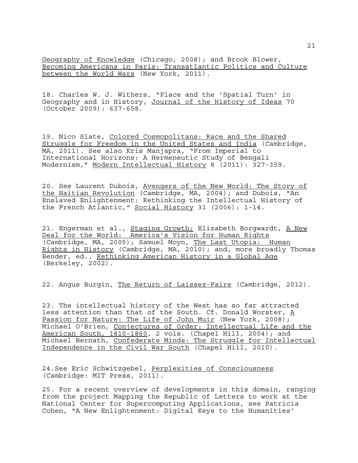Geography of Knowledge (Chicago, 2008); and Brook Blower, Becoming Americans in Paris: Transatlantic Politics and Culture between the World Wars (New York, 2011).

18. Charles W. J. Withers, "Place and the 'Spatial Turn' in Geography and in History, Journal of the History of Ideas 70 (October 2009): 637-658.

19. Nico Slate, Colored Cosmopolitans: Race and the Shared Struggle for Freedom in the United States and India (Cambridge, MA, 2011). See also Kris Manjapra, "From Imperial to International Horizons: A Hermeneutic Study of Bengali Modernism," Modern Intellectual History 8 (2011): 327-359.

20. See Laurent Dubois, Avengers of the New World: The Story of the Haitian Revolution (Cambridge, MA, 2004); and Dubois, "An Enslaved Enlightenment: Rethinking the Intellectual History of the French Atlantic," Social History 31 (2006): 1-14.

21. Engerman et al., Staging Growth; Elizabeth Borgwardt, A New Deal for the World: America's Vision for Human Rights (Cambridge, MA, 2005); Samuel Moyn, The Last Utopia: Human Rights in History (Cambridge, MA, 2010); and, more broadly Thomas Bender, ed., Rethinking American History in a Global Age (Berkeley, 2002).

22. Angus Burgin, The Return of Laissez-Faire (Cambridge, 2012).

23. The intellectual history of the West has so far attracted less attention than that of the South. Cf. Donald Worster, A Passion for Nature: The Life of John Muir (New York, 2008); Michael O'Brien, Conjectures of Order: Intellectual Life and the American South, 1810-1860, 2 vols. (Chapel Hill, 2004); and Michael Bernath, Confederate Minds: The Struggle for Intellectual Independence in the Civil War South (Chapel Hill, 2010).

24.See Eric Schwitzgebel, Perplexities of Consciousness (Cambridge: MIT Press, 2011).

25. For a recent overview of developments in this domain, ranging from the project Mapping the Republic of Letters to work at the National Center for Supercomputing Applications, see Patricia Cohen, "A New Enlightenment: Digital Keys to the Humanities'